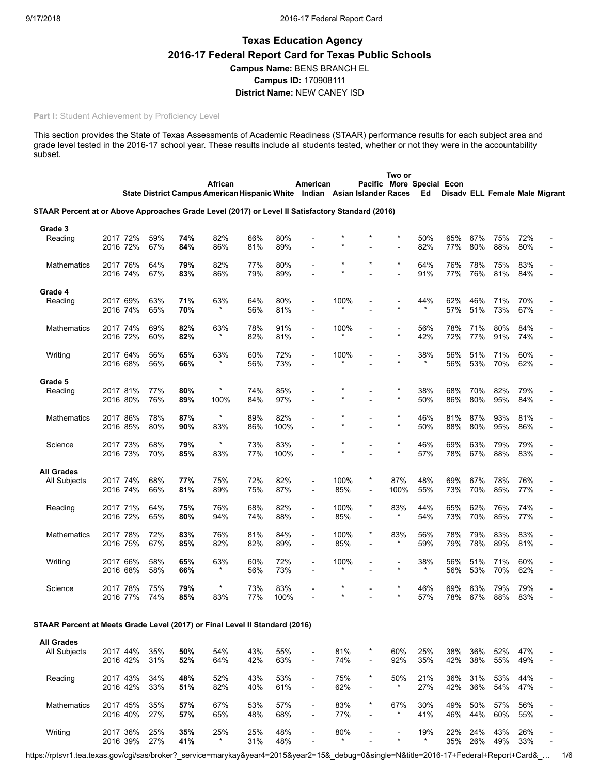# **Texas Education Agency 2016-17 Federal Report Card for Texas Public Schools Campus Name:** BENS BRANCH EL **Campus ID:** 170908111 **District Name:** NEW CANEY ISD

#### **Part I:** Student Achievement by Proficiency Level

This section provides the State of Texas Assessments of Academic Readiness (STAAR) performance results for each subject area and grade level tested in the 2016-17 school year. These results include all students tested, whether or not they were in the accountability subset.

|                                                                                                  |                      |                      |            |            | African<br>State District Campus American Hispanic White Indian Asian Islander Races |            |             | American                                   |                       |            | Two or              | Pacific More Special Econ<br>Ed |            |            | Disady ELL Female Male Migrant |            |                |
|--------------------------------------------------------------------------------------------------|----------------------|----------------------|------------|------------|--------------------------------------------------------------------------------------|------------|-------------|--------------------------------------------|-----------------------|------------|---------------------|---------------------------------|------------|------------|--------------------------------|------------|----------------|
| STAAR Percent at or Above Approaches Grade Level (2017) or Level II Satisfactory Standard (2016) |                      |                      |            |            |                                                                                      |            |             |                                            |                       |            |                     |                                 |            |            |                                |            |                |
| Grade 3<br>Reading                                                                               | 2017 72%<br>2016 72% |                      | 59%<br>67% | 74%<br>84% | 82%<br>86%                                                                           | 66%<br>81% | 80%<br>89%  |                                            |                       |            | $^\star$            | 50%<br>82%                      | 65%<br>77% | 67%<br>80% | 75%<br>88%                     | 72%<br>80% |                |
| Mathematics                                                                                      | 2017 76%<br>2016 74% |                      | 64%<br>67% | 79%<br>83% | 82%<br>86%                                                                           | 77%<br>79% | 80%<br>89%  |                                            | $\star$<br>$\star$    |            | $\star$             | 64%<br>91%                      | 76%<br>77% | 78%<br>76% | 75%<br>81%                     | 83%<br>84% |                |
| Grade 4<br>Reading                                                                               | 2017 69%<br>2016 74% |                      | 63%<br>65% | 71%<br>70% | 63%                                                                                  | 64%<br>56% | 80%<br>81%  |                                            | 100%                  |            |                     | 44%                             | 62%<br>57% | 46%<br>51% | 71%<br>73%                     | 70%<br>67% |                |
| Mathematics                                                                                      | 2017 74%<br>2016 72% |                      | 69%<br>60% | 82%<br>82% | 63%<br>$\star$                                                                       | 78%<br>82% | 91%<br>81%  | $\overline{a}$                             | 100%<br>$^\star$      |            | $\star$             | 56%<br>42%                      | 78%<br>72% | 71%<br>77% | 80%<br>91%                     | 84%<br>74% |                |
| Writing                                                                                          | 2017 64%<br>2016 68% |                      | 56%<br>56% | 65%<br>66% | 63%<br>$^\star$                                                                      | 60%<br>56% | 72%<br>73%  |                                            | 100%<br>$^{\star}$    |            |                     | 38%<br>*                        | 56%<br>56% | 51%<br>53% | 71%<br>70%                     | 60%<br>62% |                |
| Grade 5<br>Reading                                                                               | 2017 81%<br>2016 80% |                      | 77%<br>76% | 80%<br>89% | $\star$<br>100%                                                                      | 74%<br>84% | 85%<br>97%  |                                            |                       |            |                     | 38%<br>50%                      | 68%<br>86% | 70%<br>80% | 82%<br>95%                     | 79%<br>84% |                |
| Mathematics                                                                                      | 2017 86%<br>2016 85% |                      | 78%<br>80% | 87%<br>90% | $\star$<br>83%                                                                       | 89%<br>86% | 82%<br>100% |                                            | $^{\star}$<br>$\star$ |            | $\star$<br>$^\star$ | 46%<br>50%                      | 81%<br>88% | 87%<br>80% | 93%<br>95%                     | 81%<br>86% |                |
| Science                                                                                          | 2017 73%<br>2016 73% |                      | 68%<br>70% | 79%<br>85% | $^\star$<br>83%                                                                      | 73%<br>77% | 83%<br>100% | L,                                         | $\star$               |            | $\star$             | 46%<br>57%                      | 69%<br>78% | 63%<br>67% | 79%<br>88%                     | 79%<br>83% |                |
| <b>All Grades</b><br>All Subjects                                                                | 2017 74%<br>2016 74% |                      | 68%<br>66% | 77%<br>81% | 75%<br>89%                                                                           | 72%<br>75% | 82%<br>87%  | $\overline{\phantom{a}}$<br>-              | 100%<br>85%           | $^{\star}$ | 87%<br>100%         | 48%<br>55%                      | 69%<br>73% | 67%<br>70% | 78%<br>85%                     | 76%<br>77% |                |
| Reading                                                                                          | 2017 71%<br>2016 72% |                      | 64%<br>65% | 75%<br>80% | 76%<br>94%                                                                           | 68%<br>74% | 82%<br>88%  | $\overline{a}$                             | 100%<br>85%           | $^{\star}$ | 83%                 | 44%<br>54%                      | 65%<br>73% | 62%<br>70% | 76%<br>85%                     | 74%<br>77% |                |
| Mathematics                                                                                      | 2017 78%<br>2016 75% |                      | 72%<br>67% | 83%<br>85% | 76%<br>82%                                                                           | 81%<br>82% | 84%<br>89%  | $\overline{\phantom{a}}$<br>$\overline{a}$ | 100%<br>85%           | $\star$    | 83%                 | 56%<br>59%                      | 78%<br>79% | 79%<br>78% | 83%<br>89%                     | 83%<br>81% |                |
| Writing                                                                                          | 2017 66%<br>2016 68% |                      | 58%<br>58% | 65%<br>66% | 63%                                                                                  | 60%<br>56% | 72%<br>73%  | $\overline{a}$                             | 100%                  |            | ÷                   | 38%<br>×                        | 56%<br>56% | 51%<br>53% | 71%<br>70%                     | 60%<br>62% |                |
| Science                                                                                          |                      | 2017 78%<br>2016 77% | 75%<br>74% | 79%<br>85% | $\star$<br>83%                                                                       | 73%<br>77% | 83%<br>100% |                                            |                       |            |                     | 46%<br>57%                      | 69%<br>78% | 63%<br>67% | 79%<br>88%                     | 79%<br>83% |                |
| STAAR Percent at Meets Grade Level (2017) or Final Level II Standard (2016)                      |                      |                      |            |            |                                                                                      |            |             |                                            |                       |            |                     |                                 |            |            |                                |            |                |
| <b>All Grades</b>                                                                                |                      |                      |            |            |                                                                                      |            |             |                                            |                       |            |                     |                                 |            |            |                                |            |                |
| All Subjects                                                                                     | 2017 44%             | 2016 42%             | 35%<br>31% | 50%<br>52% | 54%<br>64%                                                                           | 43%<br>42% | 55%<br>63%  | $\overline{a}$<br>-                        | 81%<br>74%            | $\star$    | 60%<br>92%          | 25%<br>35%                      | 38%<br>42% | 36%<br>38% | 52%<br>55%                     | 47%<br>49% | $\overline{a}$ |
| Reading                                                                                          | 2017 43%             | 2016 42%             | 34%<br>33% | 48%<br>51% | 52%<br>82%                                                                           | 43%<br>40% | 53%<br>61%  | $\overline{\phantom{a}}$                   | 75%<br>62%            | $^\star$   | 50%<br>*            | 21%<br>27%                      | 36%<br>42% | 31%<br>36% | 53%<br>54%                     | 44%<br>47% |                |
| Mathematics                                                                                      |                      | 2017 45%             | 35%        | 57%        | 67%                                                                                  | 53%        | 57%         |                                            | 83%                   | *          | 67%                 | 30%                             | 49%        | 50%        | 57%                            | 56%        |                |

Writing 2017 36% 25% **35%** 25% 25% 48% - 80% - - 19% 22% 24% 43% 26% -

2016 40% 27% **57%** 65% 48% 68% - 77% - \* 41% 46% 44% 60% 55% -

2016 39% 27% **41%** \* 31% 48% - \* - \* \* 35% 26% 49% 33% -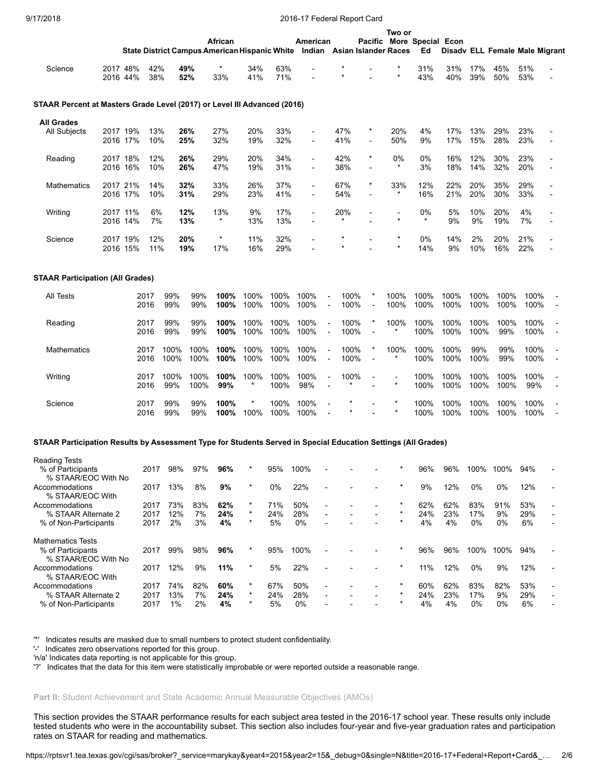|                                                                                                               |                      |              |              |              | African        |                 |              | American                 |                                  |                     | State District Campus American Hispanic White Indian Asian Islander Races | Two or             | Pacific More Special Econ<br>Ed |              |              | Disady ELL Female Male Migrant |              |                          |
|---------------------------------------------------------------------------------------------------------------|----------------------|--------------|--------------|--------------|----------------|-----------------|--------------|--------------------------|----------------------------------|---------------------|---------------------------------------------------------------------------|--------------------|---------------------------------|--------------|--------------|--------------------------------|--------------|--------------------------|
| Science                                                                                                       | 2017 48%<br>2016 44% | 42%<br>38%   |              | 49%<br>52%   | *<br>33%       | 34%<br>41%      | 63%<br>71%   |                          |                                  |                     |                                                                           |                    | 31%<br>43%                      | 31%<br>40%   | 17%<br>39%   | 45%<br>50%                     | 51%<br>53%   |                          |
| STAAR Percent at Masters Grade Level (2017) or Level III Advanced (2016)                                      |                      |              |              |              |                |                 |              |                          |                                  |                     |                                                                           |                    |                                 |              |              |                                |              |                          |
| <b>All Grades</b>                                                                                             |                      |              |              |              |                |                 |              |                          |                                  |                     |                                                                           |                    |                                 |              |              |                                |              |                          |
| All Subjects                                                                                                  | 2017 19%<br>2016 17% | 13%<br>10%   |              | 26%<br>25%   | 27%<br>32%     | 20%<br>19%      | 33%<br>32%   | $\overline{\phantom{a}}$ |                                  | 47%<br>41%          |                                                                           | 20%<br>50%         | 4%<br>9%                        | 17%<br>17%   | 13%<br>15%   | 29%<br>28%                     | 23%<br>23%   |                          |
| Reading                                                                                                       | 2017 18%<br>2016 16% | 12%<br>10%   |              | 26%<br>26%   | 29%<br>47%     | 20%<br>19%      | 34%<br>31%   | $\blacksquare$           |                                  | 42%<br>38%          | $\star$<br>$\overline{a}$                                                 | 0%<br>$^\star$     | 0%<br>3%                        | 16%<br>18%   | 12%<br>14%   | 30%<br>32%                     | 23%<br>20%   |                          |
| Mathematics                                                                                                   | 2017 21%<br>2016 17% | 14%<br>10%   |              | 32%<br>31%   | 33%<br>29%     | 26%<br>23%      | 37%<br>41%   | $\overline{\phantom{a}}$ |                                  | 67%<br>54%          | $\star$                                                                   | 33%<br>$^\star$    | 12%<br>16%                      | 22%<br>21%   | 20%<br>20%   | 35%<br>30%                     | 29%<br>33%   |                          |
| Writing                                                                                                       | 2017 11%<br>2016 14% | 6%<br>7%     |              | 12%<br>13%   | 13%            | 9%<br>13%       | 17%<br>13%   |                          |                                  | 20%                 |                                                                           |                    | 0%<br>$^\star$                  | 5%<br>9%     | 10%<br>9%    | 20%<br>19%                     | 4%<br>7%     | $\overline{\phantom{a}}$ |
| Science                                                                                                       | 2017 19%<br>2016 15% | 12%<br>11%   |              | 20%<br>19%   | $\star$<br>17% | 11%<br>16%      | 32%<br>29%   |                          |                                  | $^\star$<br>$\star$ |                                                                           | $\star$            | 0%<br>14%                       | 14%<br>9%    | 2%<br>10%    | 20%<br>16%                     | 21%<br>22%   |                          |
| <b>STAAR Participation (All Grades)</b>                                                                       |                      |              |              |              |                |                 |              |                          |                                  |                     |                                                                           |                    |                                 |              |              |                                |              |                          |
| All Tests                                                                                                     |                      | 2017<br>2016 | 99%<br>99%   | 99%<br>99%   | 100%<br>100%   | 100%<br>100%    | 100%<br>100% | 100%<br>100%             | $\overline{a}$                   | 100%<br>100%        | $\overline{\phantom{a}}$                                                  | 100%<br>100%       | 100%<br>100%                    | 100%<br>100% | 100%<br>100% | 100%<br>100%                   | 100%<br>100% |                          |
| Reading                                                                                                       |                      | 2017<br>2016 | 99%<br>99%   | 99%<br>99%   | 100%<br>100%   | 100%<br>100%    | 100%<br>100% | 100%<br>100%             | $\overline{a}$<br>$\overline{a}$ | 100%<br>100%        |                                                                           | 100%               | 100%<br>100%                    | 100%<br>100% | 100%<br>100% | 100%<br>99%                    | 100%<br>100% | $\overline{a}$           |
| Mathematics                                                                                                   |                      | 2017<br>2016 | 100%<br>100% | 100%<br>100% | 100%<br>100%   | 100%<br>100%    | 100%<br>100% | 100%<br>100%             | $\overline{a}$                   | 100%<br>100%        |                                                                           | 100%<br>*          | 100%<br>100%                    | 100%<br>100% | 99%<br>100%  | 99%<br>99%                     | 100%<br>100% | $\overline{a}$           |
| Writing                                                                                                       |                      | 2017<br>2016 | 100%<br>99%  | 100%<br>100% | 100%<br>99%    | 100%<br>$\star$ | 100%<br>100% | 100%<br>98%              | $\overline{a}$                   | 100%                |                                                                           | -<br>$\star$       | 100%<br>100%                    | 100%<br>100% | 100%<br>100% | 100%<br>100%                   | 100%<br>99%  | -<br>$\overline{a}$      |
| Science                                                                                                       |                      | 2017<br>2016 | 99%<br>99%   | 99%<br>99%   | 100%<br>100%   | $\star$<br>100% | 100%<br>100% | 100%<br>100%             | $\overline{a}$<br>$\overline{a}$ | $\ast$              |                                                                           | $\star$<br>$\star$ | 100%<br>100%                    | 100%<br>100% | 100%<br>100% | 100%<br>100%                   | 100%<br>100% | $\overline{a}$           |
| STAAR Participation Results by Assessment Type for Students Served in Special Education Settings (All Grades) |                      |              |              |              |                |                 |              |                          |                                  |                     |                                                                           |                    |                                 |              |              |                                |              |                          |
| Reading Tests                                                                                                 |                      |              |              |              |                |                 |              |                          |                                  |                     |                                                                           |                    |                                 |              |              |                                |              |                          |
| % of Participants<br>% STAAR/EOC With No                                                                      |                      | 2017         | 98%          | 97%          | 96%            | $\ast$          | 95%          | 100%                     |                                  |                     |                                                                           |                    | 96%                             | 96%          | 100%         | 100%                           | 94%          |                          |
| Accommodations<br>% STAAR/EOC With                                                                            |                      | 2017         | 13%          | 8%           | 9%             | $\star$         | 0%           | 22%                      |                                  |                     |                                                                           |                    | 9%                              | 12%          | 0%           | 0%                             | 12%          |                          |
| Accommodations                                                                                                |                      | 2017         | 73%          | 83%          | 62%            | $\star$         | 71%          | 50%                      |                                  |                     |                                                                           |                    | 62%                             | 62%          | 83%          | 91%                            | 53%          |                          |
| % STAAR Alternate 2                                                                                           |                      | 2017         | 12%          | 7%           | 24%            | $\star$         | 24%          | 28%                      |                                  |                     |                                                                           |                    | 24%                             | 23%          | 17%          | 9%                             | 29%          |                          |
| % of Non-Participants                                                                                         |                      | 2017         | 2%           | 3%           | 4%             | $\star$         | 5%           | 0%                       |                                  |                     |                                                                           |                    | 4%                              | 4%           | 0%           | 0%                             | 6%           |                          |
| <b>Mathematics Tests</b><br>% of Participants                                                                 |                      | 2017         | 99%          | 98%          | 96%            | $\ast$          | 95%          | 100%                     |                                  |                     |                                                                           |                    | 96%                             | 96%          | 100%         | 100%                           | 94%          |                          |
| % STAAR/EOC With No<br>Accommodations<br>% STAAR/EOC With                                                     |                      | 2017         | 12%          | 9%           | 11%            |                 | 5%           | 22%                      |                                  |                     |                                                                           |                    | 11%                             | 12%          | 0%           | 9%                             | 12%          |                          |

'\*' Indicates results are masked due to small numbers to protect student confidentiality.

'-' Indicates zero observations reported for this group.

'n/a' Indicates data reporting is not applicable for this group.

'?' Indicates that the data for this item were statistically improbable or were reported outside a reasonable range.

#### **Part II:** Student Achievement and State Academic Annual Measurable Objectives (AMOs)

This section provides the STAAR performance results for each subject area tested in the 2016-17 school year. These results only include tested students who were in the accountability subset. This section also includes four-year and five-year graduation rates and participation rates on STAAR for reading and mathematics.

Accommodations 2017 74% 82% **60%** \* 67% 50% - - - \* 60% 62% 83% 82% 53% - % STAAR Alternate 2 2017 13% 7% **24%** \* 24% 28% - - - \* 24% 23% 17% 9% 29% - % of Non-Participants 2017 1% 2% **4%** \* 5% 0% - - - \* 4% 4% 0% 0% 6% -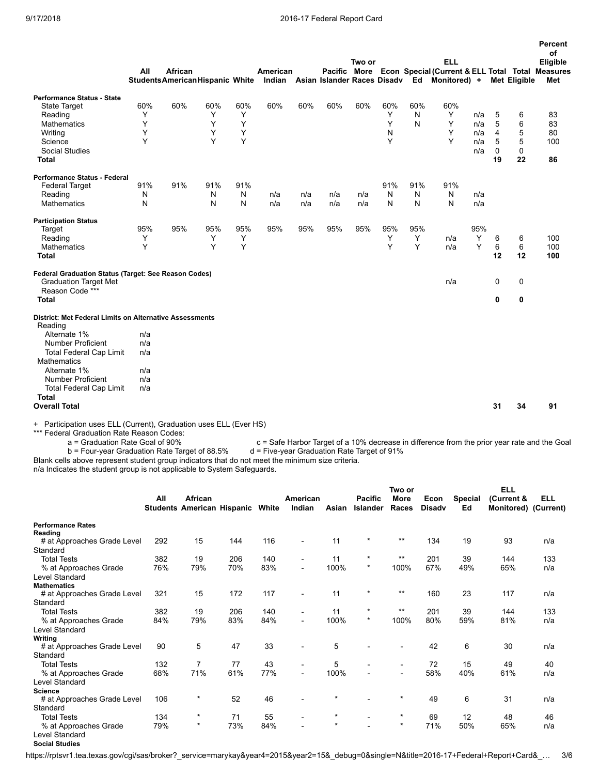|                                                                                                         | All | African<br><b>StudentsAmericanHispanic White</b> |     |     | American |     |     | Two or |     |     | <b>ELL</b><br>Pacific More Econ Special (Current & ELL Total Total Measures<br>Indian Asian Islander Races Disadv Ed Monitored) + |     |                         | <b>Met Eligible</b> | Percent<br>of<br>Eligible<br>Met |
|---------------------------------------------------------------------------------------------------------|-----|--------------------------------------------------|-----|-----|----------|-----|-----|--------|-----|-----|-----------------------------------------------------------------------------------------------------------------------------------|-----|-------------------------|---------------------|----------------------------------|
| <b>Performance Status - State</b>                                                                       |     |                                                  |     |     |          |     |     |        |     |     |                                                                                                                                   |     |                         |                     |                                  |
| State Target                                                                                            | 60% | 60%                                              | 60% | 60% | 60%      | 60% | 60% | 60%    | 60% | 60% | 60%                                                                                                                               |     |                         |                     |                                  |
| Reading                                                                                                 | Υ   |                                                  | Y   | Υ   |          |     |     |        | Y   | N   | Y                                                                                                                                 | n/a | 5                       | 6                   | 83                               |
| <b>Mathematics</b>                                                                                      | Y   |                                                  | Y   | Y   |          |     |     |        | Y   | N   | Y                                                                                                                                 | n/a | 5                       | 6                   | 83                               |
| Writing                                                                                                 | Y   |                                                  | Y   | Y   |          |     |     |        | N   |     | Y                                                                                                                                 | n/a | $\overline{\mathbf{4}}$ | 5                   | 80                               |
| Science                                                                                                 | Y   |                                                  | Y   | Y   |          |     |     |        | Y   |     | Y                                                                                                                                 | n/a | 5                       | 5                   | 100                              |
| <b>Social Studies</b>                                                                                   |     |                                                  |     |     |          |     |     |        |     |     |                                                                                                                                   | n/a | $\Omega$                | $\mathbf 0$         |                                  |
| <b>Total</b>                                                                                            |     |                                                  |     |     |          |     |     |        |     |     |                                                                                                                                   |     | 19                      | 22                  | 86                               |
| Performance Status - Federal                                                                            |     |                                                  |     |     |          |     |     |        |     |     |                                                                                                                                   |     |                         |                     |                                  |
| <b>Federal Target</b>                                                                                   | 91% | 91%                                              | 91% | 91% |          |     |     |        | 91% | 91% | 91%                                                                                                                               |     |                         |                     |                                  |
| Reading                                                                                                 | N   |                                                  | N   | N   | n/a      | n/a | n/a | n/a    | N   | N   | N                                                                                                                                 | n/a |                         |                     |                                  |
| <b>Mathematics</b>                                                                                      | N   |                                                  | N   | N   | n/a      | n/a | n/a | n/a    | N   | N   | N                                                                                                                                 | n/a |                         |                     |                                  |
| <b>Participation Status</b>                                                                             |     |                                                  |     |     |          |     |     |        |     |     |                                                                                                                                   |     |                         |                     |                                  |
| Target                                                                                                  | 95% | 95%                                              | 95% | 95% | 95%      | 95% | 95% | 95%    | 95% | 95% |                                                                                                                                   | 95% |                         |                     |                                  |
| Reading                                                                                                 | Υ   |                                                  | Y   | Y   |          |     |     |        | Y   | Y   | n/a                                                                                                                               | Y   | 6                       | 6                   | 100                              |
| <b>Mathematics</b>                                                                                      | Y   |                                                  | Y   | Y   |          |     |     |        | Y   | Y   | n/a                                                                                                                               | Y   | 6                       | 6                   | 100                              |
| <b>Total</b>                                                                                            |     |                                                  |     |     |          |     |     |        |     |     |                                                                                                                                   |     | 12                      | 12                  | 100                              |
| Federal Graduation Status (Target: See Reason Codes)<br><b>Graduation Target Met</b><br>Reason Code *** |     |                                                  |     |     |          |     |     |        |     |     | n/a                                                                                                                               |     | $\mathbf 0$             | 0                   |                                  |
| <b>Total</b>                                                                                            |     |                                                  |     |     |          |     |     |        |     |     |                                                                                                                                   |     | $\mathbf 0$             | 0                   |                                  |
| District: Met Federal Limits on Alternative Assessments<br>Reading                                      |     |                                                  |     |     |          |     |     |        |     |     |                                                                                                                                   |     |                         |                     |                                  |
| Alternate 1%                                                                                            | n/a |                                                  |     |     |          |     |     |        |     |     |                                                                                                                                   |     |                         |                     |                                  |
| <b>Number Proficient</b>                                                                                | n/a |                                                  |     |     |          |     |     |        |     |     |                                                                                                                                   |     |                         |                     |                                  |
| <b>Total Federal Cap Limit</b>                                                                          | n/a |                                                  |     |     |          |     |     |        |     |     |                                                                                                                                   |     |                         |                     |                                  |
| <b>Mathematics</b>                                                                                      |     |                                                  |     |     |          |     |     |        |     |     |                                                                                                                                   |     |                         |                     |                                  |
| Alternate 1%                                                                                            | n/a |                                                  |     |     |          |     |     |        |     |     |                                                                                                                                   |     |                         |                     |                                  |
| <b>Number Proficient</b>                                                                                | n/a |                                                  |     |     |          |     |     |        |     |     |                                                                                                                                   |     |                         |                     |                                  |
| <b>Total Federal Cap Limit</b><br><b>Total</b>                                                          | n/a |                                                  |     |     |          |     |     |        |     |     |                                                                                                                                   |     |                         |                     |                                  |
| <b>Overall Total</b>                                                                                    |     |                                                  |     |     |          |     |     |        |     |     |                                                                                                                                   |     | 31                      | 34                  | 91                               |
| Participation uses ELL (Current) Graduation uses ELL (Ever HS)                                          |     |                                                  |     |     |          |     |     |        |     |     |                                                                                                                                   |     |                         |                     |                                  |

on uses ELL (Current), Graduation uses ELL (Ever HS) \*\*\* Fancipation uses ELL (Current), Graduation<br>\*\*\* Federal Graduation Rate Reason Codes:<br>a = Graduation Rate Goal of 90%

c = Safe Harbor Target of a 10% decrease in difference from the prior year rate and the Goal d = Five-year Graduation Rate Target of 91% b = Four-year Graduation Rate Target of 88.5%

Blank cells above represent student group indicators that do not meet the minimum size criteria.

n/a Indicates the student group is not applicable to System Safeguards.

|                             |     |                                                    |     |     |                    |         |                                   | Two or                   |                       |               | <b>ELL</b>                         |     |
|-----------------------------|-----|----------------------------------------------------|-----|-----|--------------------|---------|-----------------------------------|--------------------------|-----------------------|---------------|------------------------------------|-----|
|                             | All | African<br><b>Students American Hispanic White</b> |     |     | American<br>Indian | Asian   | <b>Pacific</b><br><b>Islander</b> | <b>More</b><br>Races     | Econ<br><b>Disady</b> | Special<br>Ed | (Current &<br>Monitored) (Current) | ELL |
| <b>Performance Rates</b>    |     |                                                    |     |     |                    |         |                                   |                          |                       |               |                                    |     |
| Reading                     |     |                                                    |     |     |                    |         | $\star$                           | $***$                    |                       |               |                                    |     |
| # at Approaches Grade Level | 292 | 15                                                 | 144 | 116 |                    | 11      |                                   |                          | 134                   | 19            | 93                                 | n/a |
| Standard                    |     |                                                    |     |     |                    |         | $\star$                           | $***$                    |                       |               |                                    |     |
| <b>Total Tests</b>          | 382 | 19                                                 | 206 | 140 |                    | 11      |                                   |                          | 201                   | 39            | 144                                | 133 |
| % at Approaches Grade       | 76% | 79%                                                | 70% | 83% |                    | 100%    | $^\star$                          | 100%                     | 67%                   | 49%           | 65%                                | n/a |
| Level Standard              |     |                                                    |     |     |                    |         |                                   |                          |                       |               |                                    |     |
| <b>Mathematics</b>          |     |                                                    |     |     |                    |         | $\star$                           | $***$                    |                       |               |                                    |     |
| # at Approaches Grade Level | 321 | 15                                                 | 172 | 117 |                    | 11      |                                   |                          | 160                   | 23            | 117                                | n/a |
| Standard                    |     |                                                    |     |     |                    |         |                                   |                          |                       |               |                                    |     |
| <b>Total Tests</b>          | 382 | 19                                                 | 206 | 140 |                    | 11      | $\star$                           | $***$                    | 201                   | 39            | 144                                | 133 |
| % at Approaches Grade       | 84% | 79%                                                | 83% | 84% |                    | 100%    | $^\star$                          | 100%                     | 80%                   | 59%           | 81%                                | n/a |
| Level Standard              |     |                                                    |     |     |                    |         |                                   |                          |                       |               |                                    |     |
| Writing                     |     |                                                    |     |     |                    |         |                                   |                          |                       |               |                                    |     |
| # at Approaches Grade Level | 90  | 5                                                  | 47  | 33  |                    | 5       |                                   |                          | 42                    | 6             | 30                                 | n/a |
| Standard                    |     |                                                    |     |     |                    |         |                                   |                          |                       |               |                                    |     |
| <b>Total Tests</b>          | 132 | $\overline{7}$                                     | 77  | 43  |                    | 5       |                                   | $\overline{\phantom{a}}$ | 72                    | 15            | 49                                 | 40  |
| % at Approaches Grade       | 68% | 71%                                                | 61% | 77% |                    | 100%    |                                   | $\blacksquare$           | 58%                   | 40%           | 61%                                | n/a |
| <b>Level Standard</b>       |     |                                                    |     |     |                    |         |                                   |                          |                       |               |                                    |     |
| <b>Science</b>              |     |                                                    |     |     |                    |         |                                   |                          |                       |               |                                    |     |
| # at Approaches Grade Level | 106 | $^\star$                                           | 52  | 46  |                    | $\star$ |                                   | $\star$                  | 49                    | 6             | 31                                 | n/a |
| Standard                    |     |                                                    |     |     |                    |         |                                   |                          |                       |               |                                    |     |
| <b>Total Tests</b>          | 134 | $^\star$                                           | 71  | 55  |                    | $\star$ |                                   | $^\star$                 | 69                    | 12            | 48                                 | 46  |
| % at Approaches Grade       | 79% | $\star$                                            | 73% | 84% |                    | $\star$ |                                   | $\star$                  | 71%                   | 50%           | 65%                                | n/a |
| <b>Level Standard</b>       |     |                                                    |     |     |                    |         |                                   |                          |                       |               |                                    |     |
| <b>Social Studies</b>       |     |                                                    |     |     |                    |         |                                   |                          |                       |               |                                    |     |

https://rptsvr1.tea.texas.gov/cgi/sas/broker?\_service=marykay&year4=2015&year2=15&\_debug=0&single=N&title=2016-17+Federal+Report+Card&\_… 3/6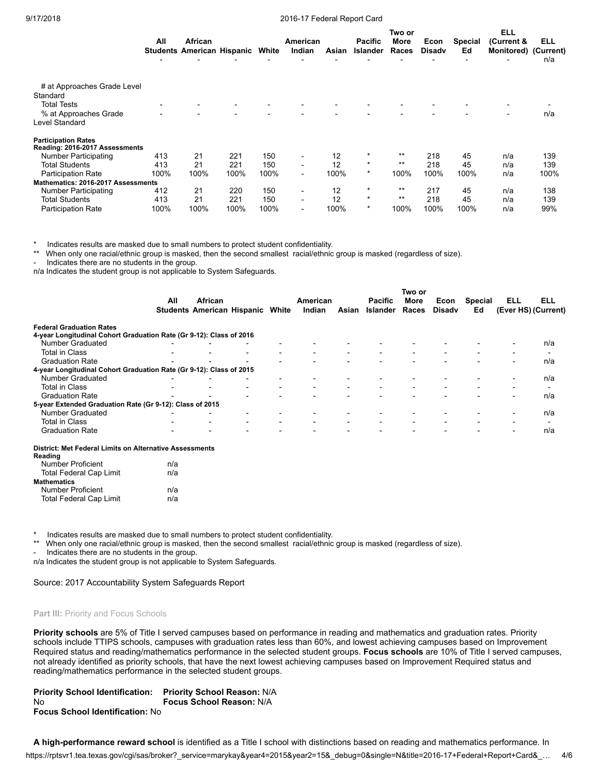|                                         |      |                                   |      |       |                          |       |                | Two or |               |                | ELL                      |      |
|-----------------------------------------|------|-----------------------------------|------|-------|--------------------------|-------|----------------|--------|---------------|----------------|--------------------------|------|
|                                         | All  | African                           |      |       | American                 |       | <b>Pacific</b> | More   | Econ          | <b>Special</b> | (Current &               | ELL  |
|                                         |      | <b>Students American Hispanic</b> |      | White | Indian                   | Asian | Islander       | Races  | <b>Disady</b> | Ed             | Monitored) (Current)     |      |
|                                         |      |                                   |      |       |                          |       |                |        |               |                |                          | n/a  |
|                                         |      |                                   |      |       |                          |       |                |        |               |                |                          |      |
| # at Approaches Grade Level<br>Standard |      |                                   |      |       |                          |       |                |        |               |                |                          |      |
| <b>Total Tests</b>                      |      | $\blacksquare$                    |      |       |                          |       |                |        |               |                |                          |      |
| % at Approaches Grade                   |      | $\overline{\phantom{0}}$          |      |       |                          |       |                |        |               |                | $\overline{\phantom{0}}$ | n/a  |
| Level Standard                          |      |                                   |      |       |                          |       |                |        |               |                |                          |      |
| <b>Participation Rates</b>              |      |                                   |      |       |                          |       |                |        |               |                |                          |      |
| Reading: 2016-2017 Assessments          |      |                                   |      |       |                          |       |                |        |               |                |                          |      |
| <b>Number Participating</b>             | 413  | 21                                | 221  | 150   |                          | 12    | $\star$        | $***$  | 218           | 45             | n/a                      | 139  |
| <b>Total Students</b>                   | 413  | 21                                | 221  | 150   |                          | 12    | $\star$        | $***$  | 218           | 45             | n/a                      | 139  |
| <b>Participation Rate</b>               | 100% | 100%                              | 100% | 100%  | $\overline{\phantom{0}}$ | 100%  | $\star$        | 100%   | 100%          | 100%           | n/a                      | 100% |
| Mathematics: 2016-2017 Assessments      |      |                                   |      |       |                          |       |                |        |               |                |                          |      |
| <b>Number Participating</b>             | 412  | 21                                | 220  | 150   | -                        | 12    | $\star$        | $***$  | 217           | 45             | n/a                      | 138  |
| <b>Total Students</b>                   | 413  | 21                                | 221  | 150   | Ξ.                       | 12    | $\star$        | $***$  | 218           | 45             | n/a                      | 139  |
| <b>Participation Rate</b>               | 100% | 100%                              | 100% | 100%  |                          | 100%  | $\star$        | 100%   | 100%          | 100%           | n/a                      | 99%  |

Indicates results are masked due to small numbers to protect student confidentiality.

When only one racial/ethnic group is masked, then the second smallest racial/ethnic group is masked (regardless of size).

Indicates there are no students in the group.

n/a Indicates the student group is not applicable to System Safeguards.

|                                                                     |     |                                                    |  |                          |       |                                   | Two or                   |                       |                      |                          |                                   |
|---------------------------------------------------------------------|-----|----------------------------------------------------|--|--------------------------|-------|-----------------------------------|--------------------------|-----------------------|----------------------|--------------------------|-----------------------------------|
|                                                                     | All | African<br><b>Students American Hispanic White</b> |  | American<br>Indian       | Asian | <b>Pacific</b><br><b>Islander</b> | <b>More</b><br>Races     | Econ<br><b>Disady</b> | <b>Special</b><br>Ed | ELL                      | <b>ELL</b><br>(Ever HS) (Current) |
|                                                                     |     |                                                    |  |                          |       |                                   |                          |                       |                      |                          |                                   |
| <b>Federal Graduation Rates</b>                                     |     |                                                    |  |                          |       |                                   |                          |                       |                      |                          |                                   |
| 4-year Longitudinal Cohort Graduation Rate (Gr 9-12): Class of 2016 |     |                                                    |  |                          |       |                                   |                          |                       |                      |                          |                                   |
| <b>Number Graduated</b>                                             |     |                                                    |  |                          |       |                                   |                          |                       |                      |                          | n/a                               |
| <b>Total in Class</b>                                               |     |                                                    |  |                          |       |                                   |                          |                       |                      |                          | $\overline{\phantom{0}}$          |
| <b>Graduation Rate</b>                                              |     |                                                    |  |                          |       |                                   |                          |                       |                      | $\overline{\phantom{0}}$ | n/a                               |
| 4-year Longitudinal Cohort Graduation Rate (Gr 9-12): Class of 2015 |     |                                                    |  |                          |       |                                   |                          |                       |                      |                          |                                   |
| <b>Number Graduated</b>                                             |     |                                                    |  |                          |       |                                   |                          |                       |                      | $\overline{\phantom{0}}$ | n/a                               |
| <b>Total in Class</b>                                               |     |                                                    |  | $\overline{\phantom{a}}$ |       |                                   | $\overline{\phantom{a}}$ |                       |                      | $\overline{\phantom{a}}$ | $\blacksquare$                    |
| <b>Graduation Rate</b>                                              |     |                                                    |  |                          |       |                                   |                          |                       |                      |                          | n/a                               |
| 5-year Extended Graduation Rate (Gr 9-12): Class of 2015            |     |                                                    |  |                          |       |                                   |                          |                       |                      |                          |                                   |
| <b>Number Graduated</b>                                             |     |                                                    |  |                          |       |                                   |                          |                       |                      | $\overline{\phantom{a}}$ | n/a                               |
| <b>Total in Class</b>                                               |     |                                                    |  |                          |       |                                   |                          |                       |                      |                          |                                   |
| <b>Graduation Rate</b>                                              |     |                                                    |  |                          |       |                                   |                          |                       |                      | $\overline{\phantom{0}}$ | n/a                               |
| District: Met Federal Limits on Alternative Assessments             |     |                                                    |  |                          |       |                                   |                          |                       |                      |                          |                                   |
| Reading                                                             |     |                                                    |  |                          |       |                                   |                          |                       |                      |                          |                                   |
| <b>Number Proficient</b>                                            | n/a |                                                    |  |                          |       |                                   |                          |                       |                      |                          |                                   |
| <b>Total Federal Cap Limit</b>                                      | n/a |                                                    |  |                          |       |                                   |                          |                       |                      |                          |                                   |
| <b>Mathamatica</b>                                                  |     |                                                    |  |                          |       |                                   |                          |                       |                      |                          |                                   |

| Mathematics                    |     |
|--------------------------------|-----|
| Number Proficient              | n/a |
| <b>Total Federal Cap Limit</b> | n/a |

\* Indicates results are masked due to small numbers to protect student confidentiality.

When only one racial/ethnic group is masked, then the second smallest racial/ethnic group is masked (regardless of size).

- Indicates there are no students in the group.

n/a Indicates the student group is not applicable to System Safeguards.

Source: 2017 Accountability System Safeguards Report

#### **Part III:** Priority and Focus Schools

**Priority schools** are 5% of Title I served campuses based on performance in reading and mathematics and graduation rates. Priority schools include TTIPS schools, campuses with graduation rates less than 60%, and lowest achieving campuses based on Improvement Required status and reading/mathematics performance in the selected student groups. **Focus schools** are 10% of Title I served campuses, not already identified as priority schools, that have the next lowest achieving campuses based on Improvement Required status and reading/mathematics performance in the selected student groups.

| <b>Priority School Identification:</b> | <b>Priority School Reason: N/A</b> |
|----------------------------------------|------------------------------------|
| No                                     | <b>Focus School Reason: N/A</b>    |
| <b>Focus School Identification: No</b> |                                    |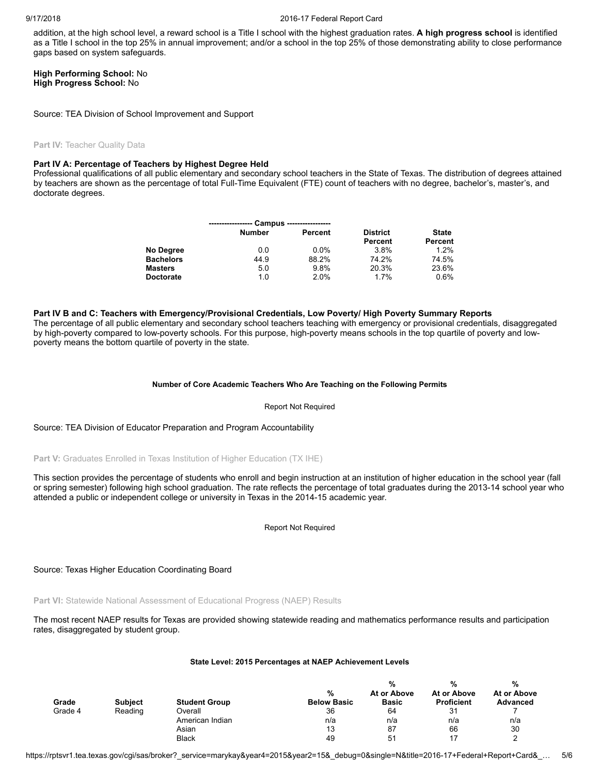addition, at the high school level, a reward school is a Title I school with the highest graduation rates. **A high progress school** is identified as a Title I school in the top 25% in annual improvement; and/or a school in the top 25% of those demonstrating ability to close performance gaps based on system safeguards.

### **High Performing School:** No **High Progress School:** No

Source: TEA Division of School Improvement and Support

#### **Part IV:** Teacher Quality Data

### **Part IV A: Percentage of Teachers by Highest Degree Held**

Professional qualifications of all public elementary and secondary school teachers in the State of Texas. The distribution of degrees attained by teachers are shown as the percentage of total Full-Time Equivalent (FTE) count of teachers with no degree, bachelor's, master's, and doctorate degrees.

|                  | Campus        | ------------------ |                 |              |
|------------------|---------------|--------------------|-----------------|--------------|
|                  | <b>Number</b> | Percent            | <b>District</b> | <b>State</b> |
|                  |               |                    | Percent         | Percent      |
| No Degree        | 0.0           | $0.0\%$            | 3.8%            | 1.2%         |
| <b>Bachelors</b> | 44.9          | 88.2%              | 74.2%           | 74.5%        |
| <b>Masters</b>   | 5.0           | 9.8%               | 20.3%           | 23.6%        |
| <b>Doctorate</b> | 1.0           | 2.0%               | 1.7%            | 0.6%         |

#### **Part IV B and C: Teachers with Emergency/Provisional Credentials, Low Poverty/ High Poverty Summary Reports**

The percentage of all public elementary and secondary school teachers teaching with emergency or provisional credentials, disaggregated by high-poverty compared to low-poverty schools. For this purpose, high-poverty means schools in the top quartile of poverty and lowpoverty means the bottom quartile of poverty in the state.

#### **Number of Core Academic Teachers Who Are Teaching on the Following Permits**

#### Report Not Required

Source: TEA Division of Educator Preparation and Program Accountability

**Part V:** Graduates Enrolled in Texas Institution of Higher Education (TX IHE)

This section provides the percentage of students who enroll and begin instruction at an institution of higher education in the school year (fall or spring semester) following high school graduation. The rate reflects the percentage of total graduates during the 2013-14 school year who attended a public or independent college or university in Texas in the 2014-15 academic year.

Report Not Required

Source: Texas Higher Education Coordinating Board

**Part VI:** Statewide National Assessment of Educational Progress (NAEP) Results

The most recent NAEP results for Texas are provided showing statewide reading and mathematics performance results and participation rates, disaggregated by student group.

#### **State Level: 2015 Percentages at NAEP Achievement Levels**

|         |                |                      |                         | %                           | %                                | %                              |
|---------|----------------|----------------------|-------------------------|-----------------------------|----------------------------------|--------------------------------|
| Grade   | <b>Subject</b> | <b>Student Group</b> | %<br><b>Below Basic</b> | At or Above<br><b>Basic</b> | At or Above<br><b>Proficient</b> | At or Above<br><b>Advanced</b> |
| Grade 4 | Reading        | Overall              | 36                      | 64                          | 31                               |                                |
|         |                | American Indian      | n/a                     | n/a                         | n/a                              | n/a                            |
|         |                | Asian                | 13                      | 87                          | 66                               | 30                             |
|         |                | <b>Black</b>         | 49                      | 51                          |                                  |                                |

https://rptsvr1.tea.texas.gov/cgi/sas/broker?\_service=marykay&year4=2015&year2=15&\_debug=0&single=N&title=2016-17+Federal+Report+Card&\_… 5/6